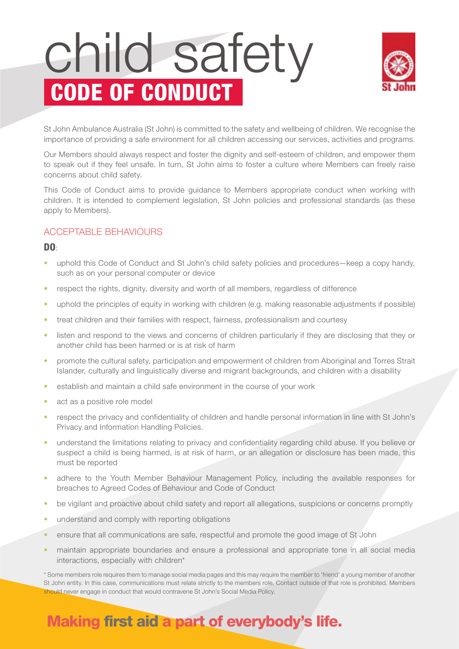# child safety CODE OF CONDUCT



St John Ambulance Australia (St John) is committed to the safety and wellbeing of children. We recognise the importance of providing a safe environment for all children accessing our services, activities and programs.

Our Members should always respect and foster the dignity and self-esteem of children, and empower them to speak out if they feel unsafe. In turn, St John aims to foster a culture where Members can freely raise concerns about child safety.

This Code of Conduct aims to provide guidance to Members appropriate conduct when working with children. It is intended to complement legislation, St John policies and professional standards (as these apply to Members).

#### ACCEPTABLE BEHAVIOURS

#### DO:

- uphold this Code of Conduct and St John's child safety policies and procedures—keep a copy handy, such as on your personal computer or device
- respect the rights, dignity, diversity and worth of all members, regardless of difference
- uphold the principles of equity in working with children (e.g. making reasonable adjustments if possible)
- treat children and their families with respect, fairness, professionalism and courtesy
- listen and respond to the views and concerns of children particularly if they are disclosing that they or another child has been harmed or is at risk of harm
- promote the cultural safety, participation and empowerment of children from Aboriginal and Torres Strait Islander, culturally and linguistically diverse and migrant backgrounds, and children with a disability
- establish and maintain a child safe environment in the course of your work
- act as a positive role model
- respect the privacy and confidentiality of children and handle personal information in line with St John's Privacy and Information Handling Policies.
- understand the limitations relating to privacy and confidentiality regarding child abuse. If you believe or suspect a child is being harmed, is at risk of harm, or an allegation or disclosure has been made, this must be reported
- adhere to the Youth Member Behaviour Management Policy, including the available responses for breaches to Agreed Codes of Behaviour and Code of Conduct
- be vigilant and proactive about child safety and report all allegations, suspicions or concerns promptly
- understand and comply with reporting obligations
- ensure that all communications are safe, respectful and promote the good image of St John
- maintain appropriate boundaries and ensure a professional and appropriate tone in all social media interactions, especially with children\*

\* Some members role requires them to manage social media pages and this may require the member to 'friend' a young member of another St John entity. In this case, communications must relate strictly to the members role. Contact outside of that role is prohibited. Members should never engage in conduct that would contravene St John's Social Media Policy.

## Making first aid a part of everybody's life.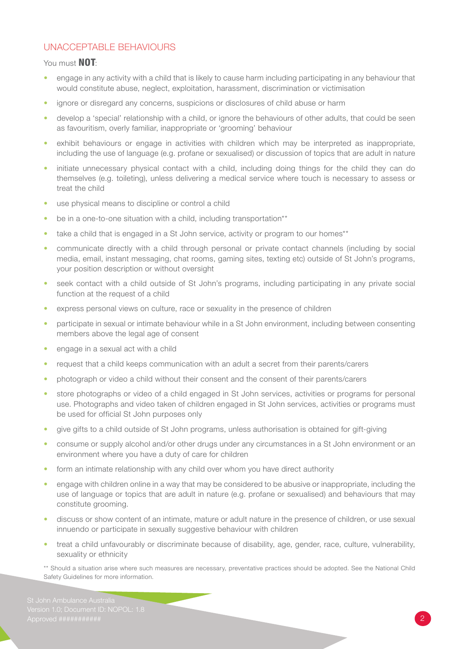#### UNACCEPTABLE BEHAVIOURS

#### You must **NOT:**

- engage in any activity with a child that is likely to cause harm including participating in any behaviour that would constitute abuse, neglect, exploitation, harassment, discrimination or victimisation
- ignore or disregard any concerns, suspicions or disclosures of child abuse or harm
- develop a 'special' relationship with a child, or ignore the behaviours of other adults, that could be seen as favouritism, overly familiar, inappropriate or 'grooming' behaviour
- exhibit behaviours or engage in activities with children which may be interpreted as inappropriate, including the use of language (e.g. profane or sexualised) or discussion of topics that are adult in nature
- initiate unnecessary physical contact with a child, including doing things for the child they can do themselves (e.g. toileting), unless delivering a medical service where touch is necessary to assess or treat the child
- use physical means to discipline or control a child
- be in a one-to-one situation with a child, including transportation\*\*
- take a child that is engaged in a St John service, activity or program to our homes\*\*
- communicate directly with a child through personal or private contact channels (including by social media, email, instant messaging, chat rooms, gaming sites, texting etc) outside of St John's programs, your position description or without oversight
- seek contact with a child outside of St John's programs, including participating in any private social function at the request of a child
- express personal views on culture, race or sexuality in the presence of children
- participate in sexual or intimate behaviour while in a St John environment, including between consenting members above the legal age of consent
- engage in a sexual act with a child
- request that a child keeps communication with an adult a secret from their parents/carers
- photograph or video a child without their consent and the consent of their parents/carers
- store photographs or video of a child engaged in St John services, activities or programs for personal use. Photographs and video taken of children engaged in St John services, activities or programs must be used for official St John purposes only
- give gifts to a child outside of St John programs, unless authorisation is obtained for gift-giving
- consume or supply alcohol and/or other drugs under any circumstances in a St John environment or an environment where you have a duty of care for children
- form an intimate relationship with any child over whom you have direct authority
- engage with children online in a way that may be considered to be abusive or inappropriate, including the use of language or topics that are adult in nature (e.g. profane or sexualised) and behaviours that may constitute grooming.
- discuss or show content of an intimate, mature or adult nature in the presence of children, or use sexual innuendo or participate in sexually suggestive behaviour with children
- treat a child unfavourably or discriminate because of disability, age, gender, race, culture, vulnerability, sexuality or ethnicity

\*\* Should a situation arise where such measures are necessary, preventative practices should be adopted. See the National Child Safety Guidelines for more information.